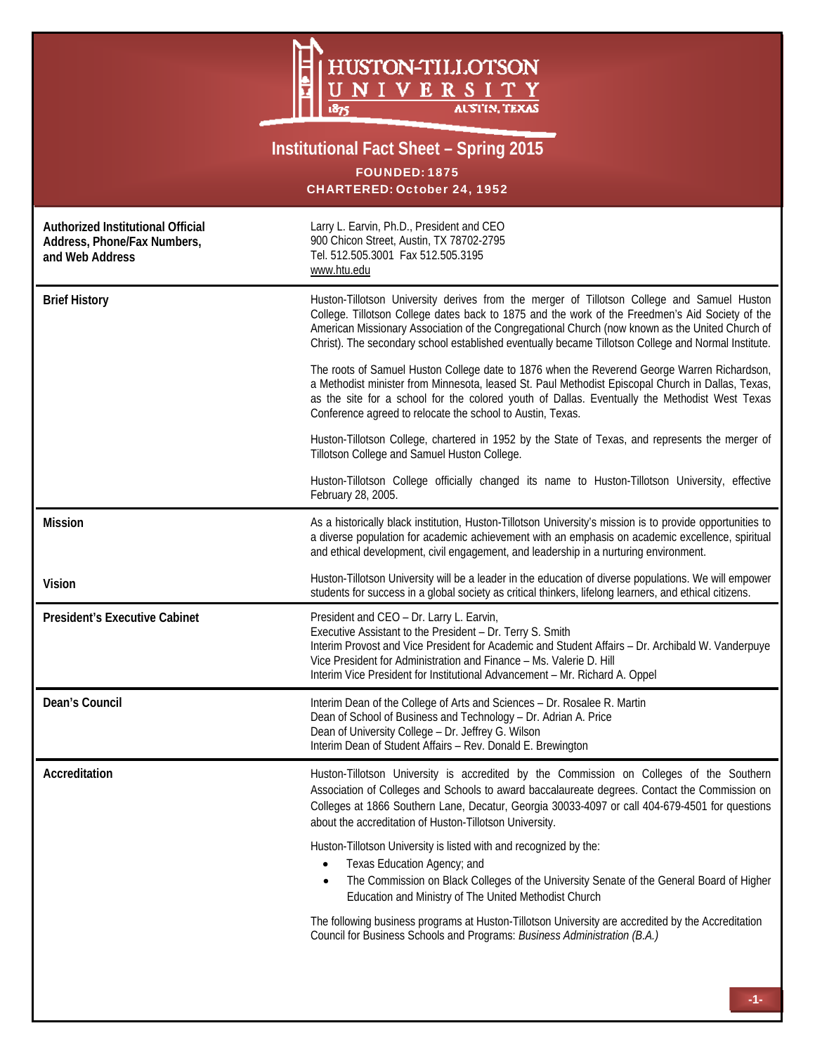

## **Institutional Fact Sheet – Spring 2015**

FOUNDED: 1875 CHARTERED: October 24, 1952

| Authorized Institutional Official<br>Address, Phone/Fax Numbers,<br>and Web Address | Larry L. Earvin, Ph.D., President and CEO<br>900 Chicon Street, Austin, TX 78702-2795<br>Tel. 512.505.3001 Fax 512.505.3195<br>www.htu.edu                                                                                                                                                                                                                                                              |  |  |
|-------------------------------------------------------------------------------------|---------------------------------------------------------------------------------------------------------------------------------------------------------------------------------------------------------------------------------------------------------------------------------------------------------------------------------------------------------------------------------------------------------|--|--|
| <b>Brief History</b>                                                                | Huston-Tillotson University derives from the merger of Tillotson College and Samuel Huston<br>College. Tillotson College dates back to 1875 and the work of the Freedmen's Aid Society of the<br>American Missionary Association of the Congregational Church (now known as the United Church of<br>Christ). The secondary school established eventually became Tillotson College and Normal Institute. |  |  |
|                                                                                     | The roots of Samuel Huston College date to 1876 when the Reverend George Warren Richardson,<br>a Methodist minister from Minnesota, leased St. Paul Methodist Episcopal Church in Dallas, Texas,<br>as the site for a school for the colored youth of Dallas. Eventually the Methodist West Texas<br>Conference agreed to relocate the school to Austin, Texas.                                         |  |  |
|                                                                                     | Huston-Tillotson College, chartered in 1952 by the State of Texas, and represents the merger of<br>Tillotson College and Samuel Huston College.                                                                                                                                                                                                                                                         |  |  |
|                                                                                     | Huston-Tillotson College officially changed its name to Huston-Tillotson University, effective<br>February 28, 2005.                                                                                                                                                                                                                                                                                    |  |  |
| <b>Mission</b>                                                                      | As a historically black institution, Huston-Tillotson University's mission is to provide opportunities to<br>a diverse population for academic achievement with an emphasis on academic excellence, spiritual<br>and ethical development, civil engagement, and leadership in a nurturing environment.                                                                                                  |  |  |
| <b>Vision</b>                                                                       | Huston-Tillotson University will be a leader in the education of diverse populations. We will empower<br>students for success in a global society as critical thinkers, lifelong learners, and ethical citizens.                                                                                                                                                                                        |  |  |
| <b>President's Executive Cabinet</b>                                                | President and CEO - Dr. Larry L. Earvin,<br>Executive Assistant to the President - Dr. Terry S. Smith<br>Interim Provost and Vice President for Academic and Student Affairs - Dr. Archibald W. Vanderpuye<br>Vice President for Administration and Finance - Ms. Valerie D. Hill<br>Interim Vice President for Institutional Advancement - Mr. Richard A. Oppel                                        |  |  |
| Dean's Council                                                                      | Interim Dean of the College of Arts and Sciences - Dr. Rosalee R. Martin<br>Dean of School of Business and Technology - Dr. Adrian A. Price<br>Dean of University College - Dr. Jeffrey G. Wilson<br>Interim Dean of Student Affairs - Rev. Donald E. Brewington                                                                                                                                        |  |  |
| Accreditation                                                                       | Huston-Tillotson University is accredited by the Commission on Colleges of the Southern<br>Association of Colleges and Schools to award baccalaureate degrees. Contact the Commission on<br>Colleges at 1866 Southern Lane, Decatur, Georgia 30033-4097 or call 404-679-4501 for questions<br>about the accreditation of Huston-Tillotson University.                                                   |  |  |
|                                                                                     | Huston-Tillotson University is listed with and recognized by the:<br>Texas Education Agency; and<br>The Commission on Black Colleges of the University Senate of the General Board of Higher<br>Education and Ministry of The United Methodist Church                                                                                                                                                   |  |  |
|                                                                                     | The following business programs at Huston-Tillotson University are accredited by the Accreditation<br>Council for Business Schools and Programs: Business Administration (B.A.)                                                                                                                                                                                                                         |  |  |